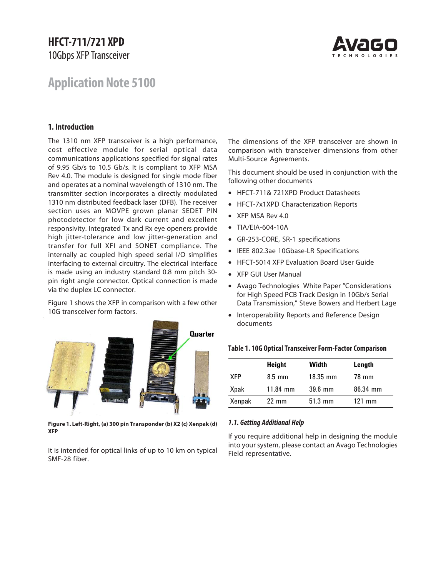# **HFCT-711/721 XPD** 10Gbps XFP Transceiver



# **Application Note 5100**

## **1. Introduction**

The 1310 nm XFP transceiver is a high performance, cost effective module for serial optical data communications applications specified for signal rates of 9.95 Gb/s to 10.5 Gb/s. It is compliant to XFP MSA Rev 4.0. The module is designed for single mode fiber and operates at a nominal wavelength of 1310 nm. The transmitter section incorporates a directly modulated 1310 nm distributed feedback laser (DFB). The receiver section uses an MOVPE grown planar SEDET PIN photodetector for low dark current and excellent responsivity. Integrated Tx and Rx eye openers provide high jitter-tolerance and low jitter-generation and transfer for full XFI and SONET compliance. The internally ac coupled high speed serial I/O simplifies interfacing to external circuitry. The electrical interface is made using an industry standard 0.8 mm pitch 30 pin right angle connector. Optical connection is made via the duplex LC connector.

Figure 1 shows the XFP in comparison with a few other 10G transceiver form factors.



**Figure 1. Left-Right, (a) 300 pin Transponder (b) X2 (c) Xenpak (d) XFP**

It is intended for optical links of up to 10 km on typical SMF-28 fiber.

The dimensions of the XFP transceiver are shown in comparison with transceiver dimensions from other Multi-Source Agreements.

This document should be used in conjunction with the following other documents

- HFCT-711& 721XPD Product Datasheets
- HFCT-7x1XPD Characterization Reports
- XFP MSA Rev 4.0
- TIA/EIA-604-10A
- GR-253-CORE, SR-1 specifications
- IEEE 802.3ae 10Gbase-LR Specifications
- HFCT-5014 XFP Evaluation Board User Guide
- XFP GUI User Manual
- Avago Technologies White Paper "Considerations for High Speed PCB Track Design in 10Gb/s Serial Data Transmission," Steve Bowers and Herbert Lage
- Interoperability Reports and Reference Design documents

#### **Table 1. 10G Optical Transceiver Form-Factor Comparison**

|             | Height           | Width             | Length   |
|-------------|------------------|-------------------|----------|
| <b>XFP</b>  | $8.5 \text{ mm}$ | 18.35 mm          | 78 mm    |
| <b>Xpak</b> | $11.84$ mm       | $39.6$ mm         | 86.34 mm |
| Xenpak      | $22 \text{ mm}$  | $51.3 \text{ mm}$ | $121$ mm |

#### *1.1. Getting Additional Help*

If you require additional help in designing the module into your system, please contact an Avago Technologies Field representative.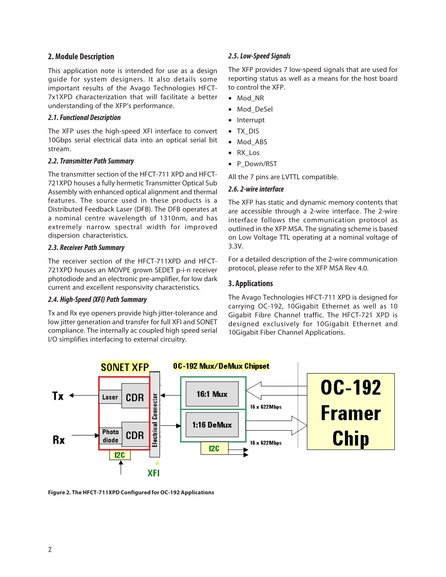## **2. Module Description**

This application note is intended for use as a design guide for system designers. It also details some important results of the Avago Technologies HFCT-7x1XPD characterization that will facilitate a better understanding of the XFP's performance.

## *2.1. Functional Description*

The XFP uses the high-speed XFI interface to convert 10Gbps serial electrical data into an optical serial bit stream.

## *2.2. Transmitter Path Summary*

The transmitter section of the HFCT-711 XPD and HFCT-721XPD houses a fully hermetic Transmitter Optical Sub Assembly with enhanced optical alignment and thermal features. The source used in these products is a Distributed Feedback Laser (DFB). The DFB operates at a nominal centre wavelength of 1310nm, and has extremely narrow spectral width for improved dispersion characteristics.

## *2.3. Receiver Path Summary*

The receiver section of the HFCT-711XPD and HFCT-721XPD houses an MOVPE grown SEDET p-i-n receiver photodiode and an electronic pre-amplifier, for low dark current and excellent responsivity characteristics.

## *2.4. High-Speed (XFI) Path Summary*

Tx and Rx eye openers provide high jitter-tolerance and low jitter generation and transfer for full XFI and SONET compliance. The internally ac coupled high speed serial I/O simplifies interfacing to external circuitry.

# *2.5. Low-Speed Signals*

The XFP provides 7 low-speed signals that are used for reporting status as well as a means for the host board to control the XFP.

- Mod\_NR
- Mod\_DeSel
- Interrupt
- TX\_DIS
- Mod ABS
- RX\_Los
- P\_Down/RST

All the 7 pins are LVTTL compatible.

## *2.6. 2-wire interface*

The XFP has static and dynamic memory contents that are accessible through a 2-wire interface. The 2-wire interface follows the communication protocol as outlined in the XFP MSA. The signaling scheme is based on Low Voltage TTL operating at a nominal voltage of 3.3V.

For a detailed description of the 2-wire communication protocol, please refer to the XFP MSA Rev 4.0.

# **3. Applications**

The Avago Technologies HFCT-711 XPD is designed for carrying OC-192, 10Gigabit Ethernet as well as 10 Gigabit Fibre Channel traffic. The HFCT-721 XPD is designed exclusively for 10Gigabit Ethernet and 10Gigabit Fiber Channel Applications.



**Figure 2. The HFCT-711XPD Configured for OC-192 Applications**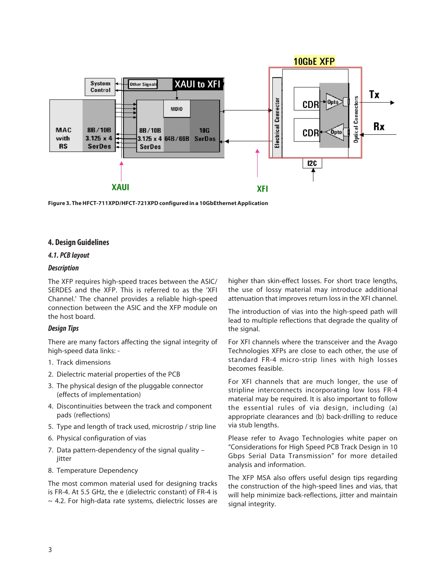

**Figure 3. The HFCT-711XPD/HFCT-721XPD configured in a 10GbEthernet Application**

## **4. Design Guidelines**

## *4.1. PCB layout*

#### *Description*

The XFP requires high-speed traces between the ASIC/ SERDES and the XFP. This is referred to as the 'XFI Channel.' The channel provides a reliable high-speed connection between the ASIC and the XFP module on the host board.

## *Design Tips*

There are many factors affecting the signal integrity of high-speed data links: -

- 1. Track dimensions
- 2. Dielectric material properties of the PCB
- 3. The physical design of the pluggable connector (effects of implementation)
- 4. Discontinuities between the track and component pads (reflections)
- 5. Type and length of track used, microstrip / strip line
- 6. Physical configuration of vias
- 7. Data pattern-dependency of the signal quality jitter
- 8. Temperature Dependency

The most common material used for designing tracks is FR-4. At 5.5 GHz, the e (dielectric constant) of FR-4 is  $\sim$  4.2. For high-data rate systems, dielectric losses are higher than skin-effect losses. For short trace lengths, the use of lossy material may introduce additional attenuation that improves return loss in the XFI channel.

The introduction of vias into the high-speed path will lead to multiple reflections that degrade the quality of the signal.

For XFI channels where the transceiver and the Avago Technologies XFPs are close to each other, the use of standard FR-4 micro-strip lines with high losses becomes feasible.

For XFI channels that are much longer, the use of stripline interconnects incorporating low loss FR-4 material may be required. It is also important to follow the essential rules of via design, including (a) appropriate clearances and (b) back-drilling to reduce via stub lengths.

Please refer to Avago Technologies white paper on "Considerations for High Speed PCB Track Design in 10 Gbps Serial Data Transmission" for more detailed analysis and information.

The XFP MSA also offers useful design tips regarding the construction of the high-speed lines and vias, that will help minimize back-reflections, jitter and maintain signal integrity.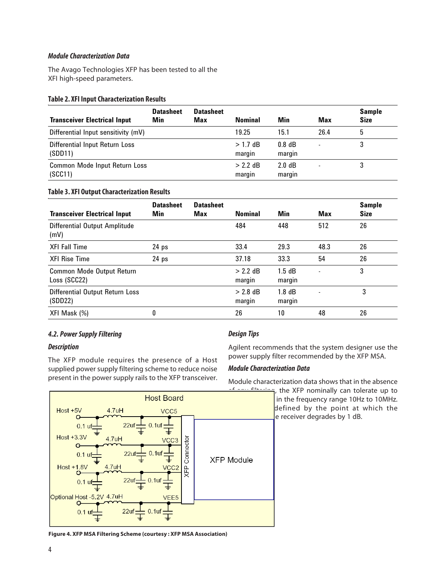## *Module Characterization Data*

The Avago Technologies XFP has been tested to all the XFI high-speed parameters.

## **Table 2. XFI Input Characterization Results**

| <b>Transceiver Electrical Input</b>       | <b>Datasheet</b><br><b>Min</b> | <b>Datasheet</b><br>Max | <b>Nominal</b>       | Min                | <b>Max</b> | <b>Sample</b><br><b>Size</b> |
|-------------------------------------------|--------------------------------|-------------------------|----------------------|--------------------|------------|------------------------------|
| Differential Input sensitivity (mV)       |                                |                         | 19.25                | 15.1               | 26.4       | 5                            |
| Differential Input Return Loss<br>(SDD11) |                                |                         | $>1.7$ dB<br>margin  | $0.8$ dB<br>margin |            |                              |
| Common Mode Input Return Loss<br>(SCC11)  |                                |                         | $> 2.2$ dB<br>margin | 2.0 dB<br>margin   |            |                              |

# **Table 3. XFI Output Characterization Results**

| <b>Transceiver Electrical Input</b>        | <b>Datasheet</b><br>Min | <b>Datasheet</b><br>Max | <b>Nominal</b>       | Min                | <b>Max</b>               | <b>Sample</b><br><b>Size</b> |
|--------------------------------------------|-------------------------|-------------------------|----------------------|--------------------|--------------------------|------------------------------|
| Differential Output Amplitude<br>(mV)      |                         |                         | 484                  | 448                | 512                      | 26                           |
| <b>XFI Fall Time</b>                       | 24 <sub>ps</sub>        |                         | 33.4                 | 29.3               | 48.3                     | 26                           |
| <b>XFI Rise Time</b>                       | 24 <sub>ps</sub>        |                         | 37.18                | 33.3               | 54                       | 26                           |
| Common Mode Output Return<br>Loss (SCC22)  |                         |                         | $> 2.2$ dB<br>margin | 1.5dB<br>margin    | $\overline{\phantom{a}}$ | 3                            |
| Differential Output Return Loss<br>(SDD22) |                         |                         | $> 2.8$ dB<br>margin | $1.8$ dB<br>margin |                          | 3                            |
| XFI Mask (%)                               | 0                       |                         | 26                   | 10                 | 48                       | 26                           |

# *4.2. Power Supply Filtering*

# *Description*

The XFP module requires the presence of a Host supplied power supply filtering scheme to reduce noise present in the power supply rails to the XFP transceiver.

# *Design Tips*

Agilent recommends that the system designer use the power supply filter recommended by the XFP MSA.

# *Module Characterization Data*

Module characterization data shows that in the absence

of any filtering, the XFP nominally can tolerate up to in the frequency range 10Hz to 10MHz. defined by the point at which the e receiver degrades by 1 dB.



**Figure 4. XFP MSA Filtering Scheme (courtesy : XFP MSA Association)**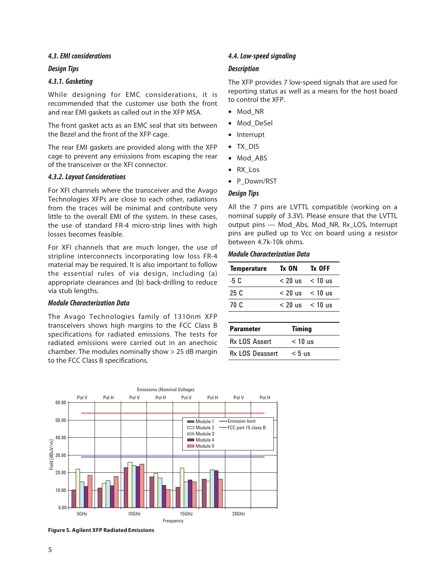## *4.3. EMI considerations*

#### *Design Tips*

#### *4.3.1. Gasketing*

While designing for EMC considerations, it is recommended that the customer use both the front and rear EMI gaskets as called out in the XFP MSA.

The front gasket acts as an EMC seal that sits between the Bezel and the front of the XFP cage.

The rear EMI gaskets are provided along with the XFP cage to prevent any emissions from escaping the rear of the transceiver or the XFI connector.

#### *4.3.2. Layout Considerations*

For XFI channels where the transceiver and the Avago Technologies XFPs are close to each other, radiations from the traces will be minimal and contribute very little to the overall EMI of the system. In these cases, the use of standard FR-4 micro-strip lines with high losses becomes feasible.

For XFI channels that are much longer, the use of stripline interconnects incorporating low loss FR-4 material may be required. It is also important to follow the essential rules of via design, including (a) appropriate clearances and (b) back-drilling to reduce via stub lengths.

### *Module Characterization Data*

The Avago Technologies family of 1310nm XFP transceivers shows high margins to the FCC Class B specifications for radiated emissions. The tests for radiated emissions were carried out in an anechoic chamber. The modules nominally show > 25 dB margin to the FCC Class B specifications.

### *4.4. Low-speed signaling*

#### *Description*

The XFP provides 7 low-speed signals that are used for reporting status as well as a means for the host board to control the XFP.

- Mod\_NR
- Mod\_DeSel
- Interrupt
- TX\_DIS
- Mod\_ABS
- RX\_Los
- P\_Down/RST

#### *Design Tips*

All the 7 pins are LVTTL compatible (working on a nominal supply of 3.3V). Please ensure that the LVTTL output pins — Mod\_Abs, Mod\_NR, Rx\_LOS, Interrupt pins are pulled up to Vcc on board using a resistor between 4.7k-10k ohms.

#### *Module Characterization Data*

| <b>Temperature</b> | Tx ON | Tx OFF              |
|--------------------|-------|---------------------|
| -5 C               |       | $< 20$ us $< 10$ us |
| 25C                |       | $< 20$ us $< 10$ us |
| 70 C               |       | $< 20$ us $< 10$ us |
|                    |       |                     |
|                    |       |                     |

| <b>Parameter</b>       | <b>Timing</b> |
|------------------------|---------------|
| <b>Rx LOS Assert</b>   | $< 10$ us     |
| <b>Rx LOS Deassert</b> | $< 5$ us      |



**Figure 5. Agilent XFP Radiated Emissions**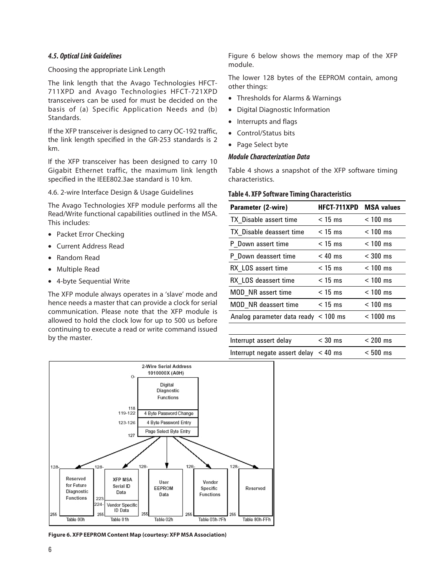## *4.5. Optical Link Guidelines*

#### Choosing the appropriate Link Length

The link length that the Avago Technologies HFCT-711XPD and Avago Technologies HFCT-721XPD transceivers can be used for must be decided on the basis of (a) Specific Application Needs and (b) Standards.

If the XFP transceiver is designed to carry OC-192 traffic, the link length specified in the GR-253 standards is 2 km.

If the XFP transceiver has been designed to carry 10 Gigabit Ethernet traffic, the maximum link length specified in the IEEE802.3ae standard is 10 km.

4.6. 2-wire Interface Design & Usage Guidelines

The Avago Technologies XFP module performs all the Read/Write functional capabilities outlined in the MSA. This includes:

- Packet Error Checking
- Current Address Read
- Random Read
- Multiple Read
- 4-byte Sequential Write

The XFP module always operates in a 'slave' mode and hence needs a master that can provide a clock for serial communication. Please note that the XFP module is allowed to hold the clock low for up to 500 us before continuing to execute a read or write command issued by the master.

Figure 6 below shows the memory map of the XFP module.

The lower 128 bytes of the EEPROM contain, among other things:

- Thresholds for Alarms & Warnings
- Digital Diagnostic Information
- Interrupts and flags
- Control/Status bits
- Page Select byte

#### *Module Characterization Data*

Table 4 shows a snapshot of the XFP software timing characteristics.

#### **Table 4. XFP Software Timing Characteristics**

| Parameter (2-wire)                   | <b>HFCT-711XPD</b> | <b>MSA values</b> |
|--------------------------------------|--------------------|-------------------|
| TX Disable assert time               | $<$ 15 ms          | $< 100$ ms        |
| TX Disable deassert time             | $<$ 15 ms          | $< 100$ ms        |
| P Down assert time                   | $<$ 15 ms          | $< 100$ ms        |
| P Down deassert time                 | $< 40$ ms          | $<$ 300 ms        |
| RX LOS assert time                   | $<$ 15 ms          | $< 100$ ms        |
| RX LOS deassert time                 | $<$ 15 ms          | $< 100$ ms        |
| MOD NR assert time                   | $<$ 15 ms          | $< 100$ ms        |
| MOD NR deassert time                 | $<$ 15 ms          | $< 100$ ms        |
| Analog parameter data ready < 100 ms |                    | $< 1000$ ms       |
|                                      |                    |                   |

| Interrupt assert delay                     | $<$ 30 ms | $< 200$ ms |
|--------------------------------------------|-----------|------------|
| Interrupt negate assert delay $\leq 40$ ms |           | $< 500$ ms |



**Figure 6. XFP EEPROM Content Map (courtesy: XFP MSA Association)**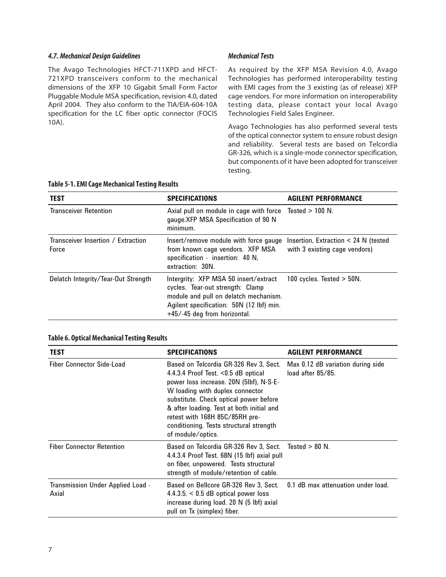### *4.7. Mechanical Design Guidelines*

The Avago Technologies HFCT-711XPD and HFCT-721XPD transceivers conform to the mechanical dimensions of the XFP 10 Gigabit Small Form Factor Pluggable Module MSA specification, revision 4.0, dated April 2004. They also conform to the TIA/EIA-604-10A specification for the LC fiber optic connector (FOCIS 10A).

## *Mechanical Tests*

As required by the XFP MSA Revision 4.0, Avago Technologies has performed interoperability testing with EMI cages from the 3 existing (as of release) XFP cage vendors. For more information on interoperability testing data, please contact your local Avago Technologies Field Sales Engineer.

Avago Technologies has also performed several tests of the optical connector system to ensure robust design and reliability. Several tests are based on Telcordia GR-326, which is a single-mode connector specification, but components of it have been adopted for transceiver testing.

| <b>TEST</b>                                 | <b>SPECIFICATIONS</b>                                                                                                                                                                          | <b>AGILENT PERFORMANCE</b>                                              |
|---------------------------------------------|------------------------------------------------------------------------------------------------------------------------------------------------------------------------------------------------|-------------------------------------------------------------------------|
|                                             |                                                                                                                                                                                                |                                                                         |
| <b>Transceiver Retention</b>                | Axial pull on module in cage with force Tested > 100 N.<br>gauge.XFP MSA Specification of 90 N<br>minimum.                                                                                     |                                                                         |
| Transceiver Insertion / Extraction<br>Force | Insert/remove module with force gauge<br>from known cage vendors. XFP MSA<br>specification - insertion: 40 N,<br>extraction: 30N.                                                              | Insertion, Extraction $<$ 24 N (tested<br>with 3 existing cage vendors) |
| Delatch Integrity/Tear-Out Strength         | Intergrity: XFP MSA 50 insert/extract<br>cycles. Tear-out strength: Clamp<br>module and pull on delatch mechanism.<br>Agilent specification: 50N (12 lbf) min.<br>+45/-45 deg from horizontal. | 100 cycles. Tested $>$ 50N.                                             |

#### **Table 5-1. EMI Cage Mechanical Testing Results**

#### **Table 6. Optical Mechanical Testing Results**

| <b>TEST</b>                                | <b>SPECIFICATIONS</b>                                                                                                                                                                                                                                                                                                                                   | <b>AGILENT PERFORMANCE</b>                                  |
|--------------------------------------------|---------------------------------------------------------------------------------------------------------------------------------------------------------------------------------------------------------------------------------------------------------------------------------------------------------------------------------------------------------|-------------------------------------------------------------|
| Fiber Connector Side-Load                  | Based on Telcordia GR-326 Rev 3, Sect.<br>4.4.3.4 Proof Test. $< 0.5$ dB optical<br>power loss increase. 20N (5lbf), N-S-E-<br>W loading with duplex connector<br>substitute. Check optical power before<br>& after loading. Test at both initial and<br>retest with 168H 85C/85RH pre-<br>conditioning. Tests structural strength<br>of module/optics. | Max 0.12 dB variation during side<br>$load$ after $85/85$ . |
| <b>Fiber Connector Retention</b>           | Based on Telcordia GR-326 Rev 3, Sect. Tested > 80 N.<br>4.4.3.4 Proof Test. 68N (15 lbf) axial pull<br>on fiber, unpowered. Tests structural<br>strength of module/retention of cable.                                                                                                                                                                 |                                                             |
| Transmission Under Applied Load -<br>Axial | Based on Bellcore GR-326 Rev 3, Sect. 0.1 dB max attenuation under load.<br>$4.4.3.5. < 0.5$ dB optical power loss<br>increase during load. 20 N (5 lbf) axial<br>pull on Tx (simplex) fiber.                                                                                                                                                           |                                                             |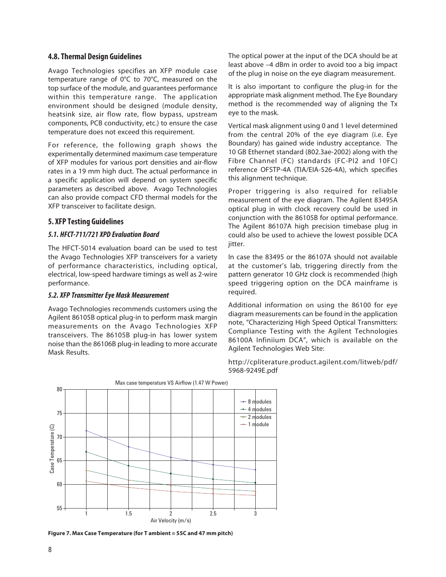## **4.8. Thermal Design Guidelines**

Avago Technologies specifies an XFP module case temperature range of 0°C to 70°C, measured on the top surface of the module, and guarantees performance within this temperature range. The application environment should be designed (module density, heatsink size, air flow rate, flow bypass, upstream components, PCB conductivity, etc.) to ensure the case temperature does not exceed this requirement.

For reference, the following graph shows the experimentally determined maximum case temperature of XFP modules for various port densities and air-flow rates in a 19 mm high duct. The actual performance in a specific application will depend on system specific parameters as described above. Avago Technologies can also provide compact CFD thermal models for the XFP transceiver to facilitate design.

# **5. XFP Testing Guidelines**

## *5.1. HFCT-711/721 XPD Evaluation Board*

The HFCT-5014 evaluation board can be used to test the Avago Technologies XFP transceivers for a variety of performance characteristics, including optical, electrical, low-speed hardware timings as well as 2-wire performance.

## *5.2. XFP Transmitter Eye Mask Measurement*

Avago Technologies recommends customers using the Agilent 86105B optical plug-in to perform mask margin measurements on the Avago Technologies XFP transceivers. The 86105B plug-in has lower system noise than the 86106B plug-in leading to more accurate Mask Results.

The optical power at the input of the DCA should be at least above –4 dBm in order to avoid too a big impact of the plug in noise on the eye diagram measurement.

It is also important to configure the plug-in for the appropriate mask alignment method. The Eye Boundary method is the recommended way of aligning the Tx eye to the mask.

Vertical mask alignment using 0 and 1 level determined from the central 20% of the eye diagram (i.e. Eye Boundary) has gained wide industry acceptance. The 10 GB Ethernet standard (802.3ae-2002) along with the Fibre Channel (FC) standards (FC-PI2 and 10FC) reference OFSTP-4A (TIA/EIA-526-4A), which specifies this alignment technique.

Proper triggering is also required for reliable measurement of the eye diagram. The Agilent 83495A optical plug in with clock recovery could be used in conjunction with the 86105B for optimal performance. The Agilent 86107A high precision timebase plug in could also be used to achieve the lowest possible DCA jitter.

In case the 83495 or the 86107A should not available at the customer's lab, triggering directly from the pattern generator 10 GHz clock is recommended (high speed triggering option on the DCA mainframe is required.

Additional information on using the 86100 for eye diagram measurements can be found in the application note, "Characterizing High Speed Optical Transmitters: Compliance Testing with the Agilent Technologies 86100A Infiniium DCA", which is available on the Agilent Technologies Web Site:

http://cpliterature.product.agilent.com/litweb/pdf/ 5968-9249E.pdf



**Figure 7. Max Case Temperature (for T ambient = 55C and 47 mm pitch)**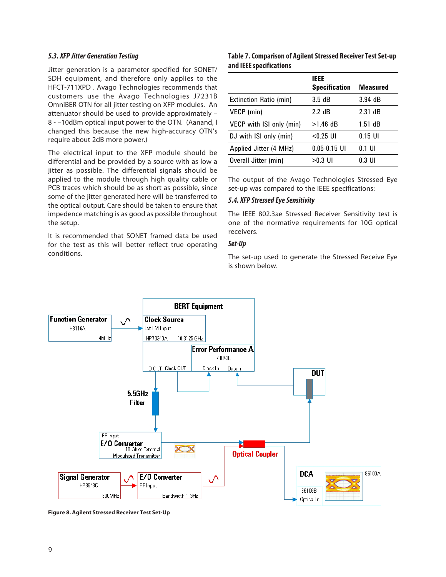### *5.3. XFP Jitter Generation Testing*

Jitter generation is a parameter specified for SONET/ SDH equipment, and therefore only applies to the HFCT-711XPD . Avago Technologies recommends that customers use the Avago Technologies J7231B OmniBER OTN for all jitter testing on XFP modules. An attenuator should be used to provide approximately – 8 - –10dBm optical input power to the OTN. (Aanand, I changed this because the new high-accuracy OTN's require about 2dB more power.)

The electrical input to the XFP module should be differential and be provided by a source with as low a jitter as possible. The differential signals should be applied to the module through high quality cable or PCB traces which should be as short as possible, since some of the jitter generated here will be transferred to the optical output. Care should be taken to ensure that impedence matching is as good as possible throughout the setup.

It is recommended that SONET framed data be used for the test as this will better reflect true operating conditions.

## **Table 7. Comparison of Agilent Stressed Receiver Test Set-up and IEEE specifications**

|                          | <b>IEEE</b>          |                 |
|--------------------------|----------------------|-----------------|
|                          | <b>Specification</b> | <b>Measured</b> |
| Extinction Ratio (min)   | 3.5dB                | $3.94$ dB       |
| VECP (min)               | 2.2 dB               | 2.31 dB         |
| VECP with ISI only (min) | $>1.46$ dB           | $1.51$ dB       |
| DJ with ISI only (min)   | $<$ 0.25 UI          | $0.15$ UI       |
| Applied Jitter (4 MHz)   | $0.05 - 0.15$ UI     | 0.1 UI          |
| Overall Jitter (min)     | >0.3 UI              | $0.3$ UI        |

The output of the Avago Technologies Stressed Eye set-up was compared to the IEEE specifications:

## *5.4. XFP Stressed Eye Sensitivity*

The IEEE 802.3ae Stressed Receiver Sensitivity test is one of the normative requirements for 10G optical receivers.

## *Set-Up*

The set-up used to generate the Stressed Receive Eye is shown below.



**Figure 8. Agilent Stressed Receiver Test Set-Up**